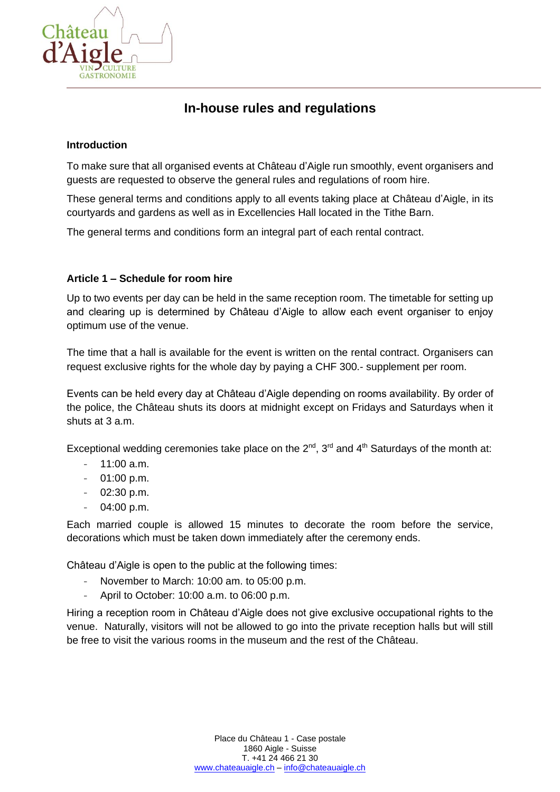

# **In-house rules and regulations**

#### **Introduction**

To make sure that all organised events at Château d'Aigle run smoothly, event organisers and guests are requested to observe the general rules and regulations of room hire.

These general terms and conditions apply to all events taking place at Château d'Aigle, in its courtyards and gardens as well as in Excellencies Hall located in the Tithe Barn.

The general terms and conditions form an integral part of each rental contract.

## **Article 1 – Schedule for room hire**

Up to two events per day can be held in the same reception room. The timetable for setting up and clearing up is determined by Château d'Aigle to allow each event organiser to enjoy optimum use of the venue.

The time that a hall is available for the event is written on the rental contract. Organisers can request exclusive rights for the whole day by paying a CHF 300.- supplement per room.

Events can be held every day at Château d'Aigle depending on rooms availability. By order of the police, the Château shuts its doors at midnight except on Fridays and Saturdays when it shuts at 3 a.m.

Exceptional wedding ceremonies take place on the  $2^{nd}$ ,  $3^{rd}$  and  $4^{th}$  Saturdays of the month at:

- $11:00$  a.m.
- 01:00 p.m.
- 02:30 p.m.
- 04:00 p.m.

Each married couple is allowed 15 minutes to decorate the room before the service, decorations which must be taken down immediately after the ceremony ends.

Château d'Aigle is open to the public at the following times:

- November to March: 10:00 am. to 05:00 p.m.
- April to October: 10:00 a.m. to 06:00 p.m.

Hiring a reception room in Château d'Aigle does not give exclusive occupational rights to the venue. Naturally, visitors will not be allowed to go into the private reception halls but will still be free to visit the various rooms in the museum and the rest of the Château.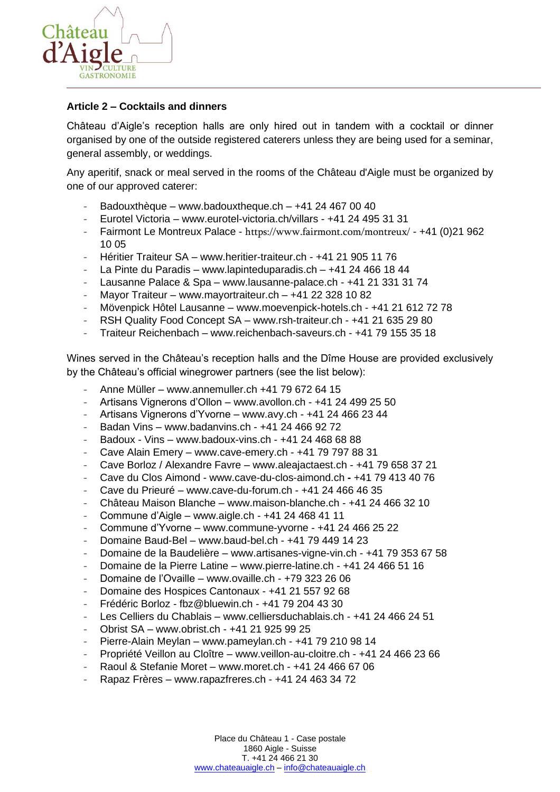

### **Article 2 – Cocktails and dinners**

Château d'Aigle's reception halls are only hired out in tandem with a cocktail or dinner organised by one of the outside registered caterers unless they are being used for a seminar, general assembly, or weddings.

Any aperitif, snack or meal served in the rooms of the Château d'Aigle must be organized by one of our approved caterer:

- Badouxthèque [www.badouxtheque.ch](http://www.badouxtheque.ch/)  $+41$  24 467 00 40
- Eurotel Victoria www.eurotel-victoria.ch/villars +41 24 495 31 31
- Fairmont Le Montreux Palace <https://www.fairmont.com/montreux/> +41 (0)21 962 10 05
- Héritier Traiteur SA www.heritier-traiteur.ch +41 21 905 11 76
- La Pinte du Paradis www.lapinteduparadis.ch +41 24 466 18 44
- Lausanne Palace & Spa www.lausanne-palace.ch +41 21 331 31 74
- Mayor Traiteur www.mayortraiteur.ch  $+41$  22 328 10 82
- Mövenpick Hôtel Lausanne www.moevenpick-hotels.ch +41 21 612 72 78
- RSH Quality Food Concept SA www.rsh-traiteur.ch +41 21 635 29 80
- Traiteur Reichenbach www.reichenbach-saveurs.ch +41 79 155 35 18

Wines served in the Château's reception halls and the Dîme House are provided exclusively by the Château's official winegrower partners (see the list below):

- Anne Müller www.annemuller.ch +41 79 672 64 15
- Artisans Vignerons d'Ollon www.avollon.ch +41 24 499 25 50
- Artisans Vignerons d'Yvorne www.avy.ch +41 24 466 23 44
- Badan Vins www.badanvins.ch +41 24 466 92 72
- $-$  Badoux Vins www.badoux-vins.ch  $+41$  24 468 68 88
- Cave Alain Emery www.cave-emery.ch +41 79 797 88 31
- Cave Borloz / Alexandre Favre www.aleajactaest.ch +41 79 658 37 21
- Cave du Clos Aimond www.cave-du-clos-aimond.ch **-** +41 79 413 40 76
- Cave du Prieuré [www.cave-du-forum.ch](http://www.cave-du-forum.ch/) +41 24 466 46 35
- Château Maison Blanche [www.maison-blanche.ch](http://www.maison-blanche.ch/) +41 24 466 32 10
- Commune d'Aigle www.aigle.ch +41 24 468 41 11
- Commune d'Yvorne www.commune-yvorne +41 24 466 25 22
- Domaine Baud-Bel www.baud-bel.ch +41 79 449 14 23
- Domaine de la Baudelière www.artisanes-vigne-vin.ch +41 79 353 67 58
- Domaine de la Pierre Latine www.pierre-latine.ch +41 24 466 51 16
- Domaine de l'Ovaille www.ovaille.ch +79 323 26 06
- Domaine des Hospices Cantonaux +41 21 557 92 68
- Frédéric Borloz fbz@bluewin.ch +41 79 204 43 30
- Les Celliers du Chablais www.celliersduchablais.ch +41 24 466 24 51
- Obrist SA www.obrist.ch +41 21 925 99 25
- Pierre-Alain Meylan www.pameylan.ch +41 79 210 98 14
- Propriété Veillon au Cloître www.veillon-au-cloitre.ch +41 24 466 23 66
- Raoul & Stefanie Moret www.moret.ch +41 24 466 67 06
- Rapaz Frères www.rapazfreres.ch +41 24 463 34 72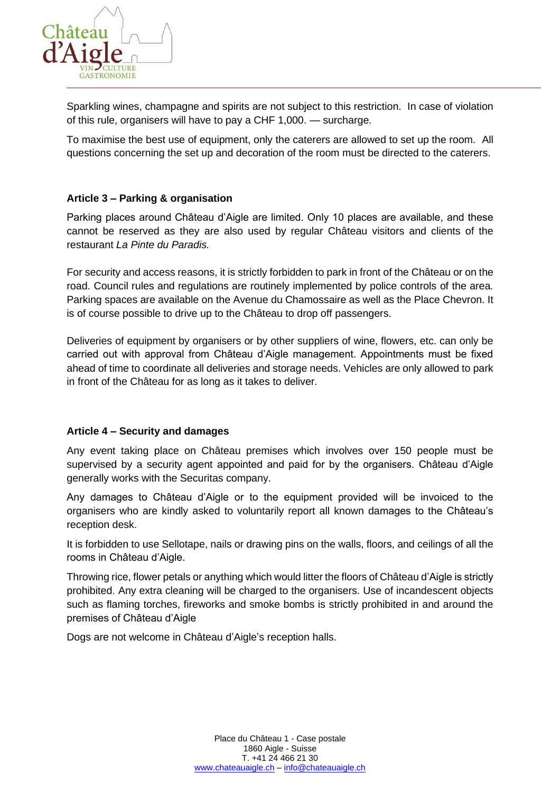

Sparkling wines, champagne and spirits are not subject to this restriction. In case of violation of this rule, organisers will have to pay a CHF 1,000. — surcharge.

To maximise the best use of equipment, only the caterers are allowed to set up the room. All questions concerning the set up and decoration of the room must be directed to the caterers.

## **Article 3 – Parking & organisation**

Parking places around Château d'Aigle are limited. Only 10 places are available, and these cannot be reserved as they are also used by regular Château visitors and clients of the restaurant *La Pinte du Paradis.* 

For security and access reasons, it is strictly forbidden to park in front of the Château or on the road. Council rules and regulations are routinely implemented by police controls of the area*.*  Parking spaces are available on the Avenue du Chamossaire as well as the Place Chevron. It is of course possible to drive up to the Château to drop off passengers.

Deliveries of equipment by organisers or by other suppliers of wine, flowers, etc. can only be carried out with approval from Château d'Aigle management. Appointments must be fixed ahead of time to coordinate all deliveries and storage needs. Vehicles are only allowed to park in front of the Château for as long as it takes to deliver.

#### **Article 4 – Security and damages**

Any event taking place on Château premises which involves over 150 people must be supervised by a security agent appointed and paid for by the organisers. Château d'Aigle generally works with the Securitas company.

Any damages to Château d'Aigle or to the equipment provided will be invoiced to the organisers who are kindly asked to voluntarily report all known damages to the Château's reception desk.

It is forbidden to use Sellotape, nails or drawing pins on the walls, floors, and ceilings of all the rooms in Château d'Aigle.

Throwing rice, flower petals or anything which would litter the floors of Château d'Aigle is strictly prohibited. Any extra cleaning will be charged to the organisers. Use of incandescent objects such as flaming torches, fireworks and smoke bombs is strictly prohibited in and around the premises of Château d'Aigle

Dogs are not welcome in Château d'Aigle's reception halls.